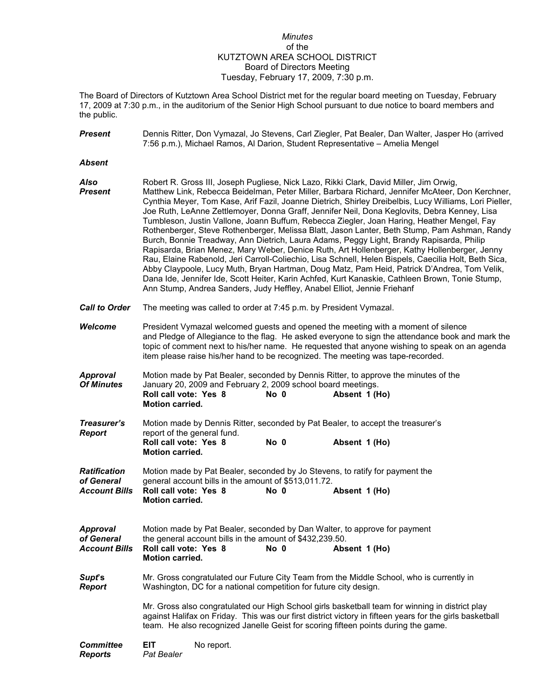## *Minutes* of the KUTZTOWN AREA SCHOOL DISTRICT Board of Directors Meeting Tuesday, February 17, 2009, 7:30 p.m.

The Board of Directors of Kutztown Area School District met for the regular board meeting on Tuesday, February 17, 2009 at 7:30 p.m., in the auditorium of the Senior High School pursuant to due notice to board members and the public.

| <b>Present</b>                                            | Dennis Ritter, Don Vymazal, Jo Stevens, Carl Ziegler, Pat Bealer, Dan Walter, Jasper Ho (arrived<br>7:56 p.m.), Michael Ramos, Al Darion, Student Representative - Amelia Mengel                                                                                                                                                                                                                                                                                                                                                                                                                                                                                                                                                                                                                                                                                                                                                                                                                                                                                                                                                                                                   |  |  |  |  |
|-----------------------------------------------------------|------------------------------------------------------------------------------------------------------------------------------------------------------------------------------------------------------------------------------------------------------------------------------------------------------------------------------------------------------------------------------------------------------------------------------------------------------------------------------------------------------------------------------------------------------------------------------------------------------------------------------------------------------------------------------------------------------------------------------------------------------------------------------------------------------------------------------------------------------------------------------------------------------------------------------------------------------------------------------------------------------------------------------------------------------------------------------------------------------------------------------------------------------------------------------------|--|--|--|--|
| <b>Absent</b>                                             |                                                                                                                                                                                                                                                                                                                                                                                                                                                                                                                                                                                                                                                                                                                                                                                                                                                                                                                                                                                                                                                                                                                                                                                    |  |  |  |  |
| Also<br><b>Present</b>                                    | Robert R. Gross III, Joseph Pugliese, Nick Lazo, Rikki Clark, David Miller, Jim Orwig,<br>Matthew Link, Rebecca Beidelman, Peter Miller, Barbara Richard, Jennifer McAteer, Don Kerchner,<br>Cynthia Meyer, Tom Kase, Arif Fazil, Joanne Dietrich, Shirley Dreibelbis, Lucy Williams, Lori Pieller,<br>Joe Ruth, LeAnne Zettlemoyer, Donna Graff, Jennifer Neil, Dona Keglovits, Debra Kenney, Lisa<br>Tumbleson, Justin Vallone, Joann Buffum, Rebecca Ziegler, Joan Haring, Heather Mengel, Fay<br>Rothenberger, Steve Rothenberger, Melissa Blatt, Jason Lanter, Beth Stump, Pam Ashman, Randy<br>Burch, Bonnie Treadway, Ann Dietrich, Laura Adams, Peggy Light, Brandy Rapisarda, Philip<br>Rapisarda, Brian Menez, Mary Weber, Denice Ruth, Art Hollenberger, Kathy Hollenberger, Jenny<br>Rau, Elaine Rabenold, Jeri Carroll-Coliechio, Lisa Schnell, Helen Bispels, Caecilia Holt, Beth Sica,<br>Abby Claypoole, Lucy Muth, Bryan Hartman, Doug Matz, Pam Heid, Patrick D'Andrea, Tom Velik,<br>Dana Ide, Jennifer Ide, Scott Heiter, Karin Achfed, Kurt Kanaskie, Cathleen Brown, Tonie Stump,<br>Ann Stump, Andrea Sanders, Judy Heffley, Anabel Elliot, Jennie Friehanf |  |  |  |  |
| <b>Call to Order</b>                                      | The meeting was called to order at 7:45 p.m. by President Vymazal.                                                                                                                                                                                                                                                                                                                                                                                                                                                                                                                                                                                                                                                                                                                                                                                                                                                                                                                                                                                                                                                                                                                 |  |  |  |  |
| <b>Welcome</b>                                            | President Vymazal welcomed guests and opened the meeting with a moment of silence<br>and Pledge of Allegiance to the flag. He asked everyone to sign the attendance book and mark the<br>topic of comment next to his/her name. He requested that anyone wishing to speak on an agenda<br>item please raise his/her hand to be recognized. The meeting was tape-recorded.                                                                                                                                                                                                                                                                                                                                                                                                                                                                                                                                                                                                                                                                                                                                                                                                          |  |  |  |  |
| <b>Approval</b><br><b>Of Minutes</b>                      | Motion made by Pat Bealer, seconded by Dennis Ritter, to approve the minutes of the<br>January 20, 2009 and February 2, 2009 school board meetings.<br>Roll call vote: Yes 8<br>No 0<br>Absent 1 (Ho)<br><b>Motion carried.</b>                                                                                                                                                                                                                                                                                                                                                                                                                                                                                                                                                                                                                                                                                                                                                                                                                                                                                                                                                    |  |  |  |  |
| Treasurer's<br><b>Report</b>                              | Motion made by Dennis Ritter, seconded by Pat Bealer, to accept the treasurer's<br>report of the general fund.<br>Roll call vote: Yes 8<br>No 0<br>Absent 1 (Ho)<br><b>Motion carried.</b>                                                                                                                                                                                                                                                                                                                                                                                                                                                                                                                                                                                                                                                                                                                                                                                                                                                                                                                                                                                         |  |  |  |  |
| <b>Ratification</b><br>of General<br><b>Account Bills</b> | Motion made by Pat Bealer, seconded by Jo Stevens, to ratify for payment the<br>general account bills in the amount of \$513,011.72.<br>Roll call vote: Yes 8<br>No 0<br>Absent 1 (Ho)<br>Motion carried.                                                                                                                                                                                                                                                                                                                                                                                                                                                                                                                                                                                                                                                                                                                                                                                                                                                                                                                                                                          |  |  |  |  |
| <b>Approval</b><br>of General<br><b>Account Bills</b>     | Motion made by Pat Bealer, seconded by Dan Walter, to approve for payment<br>the general account bills in the amount of \$432,239.50.<br>Roll call vote: Yes 8<br>$No$ 0<br>Absent 1 (Ho)<br><b>Motion carried.</b>                                                                                                                                                                                                                                                                                                                                                                                                                                                                                                                                                                                                                                                                                                                                                                                                                                                                                                                                                                |  |  |  |  |
| Supt's<br><b>Report</b>                                   | Mr. Gross congratulated our Future City Team from the Middle School, who is currently in<br>Washington, DC for a national competition for future city design.                                                                                                                                                                                                                                                                                                                                                                                                                                                                                                                                                                                                                                                                                                                                                                                                                                                                                                                                                                                                                      |  |  |  |  |
|                                                           | Mr. Gross also congratulated our High School girls basketball team for winning in district play<br>against Halifax on Friday. This was our first district victory in fifteen years for the girls basketball<br>team. He also recognized Janelle Geist for scoring fifteen points during the game.                                                                                                                                                                                                                                                                                                                                                                                                                                                                                                                                                                                                                                                                                                                                                                                                                                                                                  |  |  |  |  |
| <b>Committee</b><br><b>Reports</b>                        | <b>EIT</b><br>No report.<br>Pat Bealer                                                                                                                                                                                                                                                                                                                                                                                                                                                                                                                                                                                                                                                                                                                                                                                                                                                                                                                                                                                                                                                                                                                                             |  |  |  |  |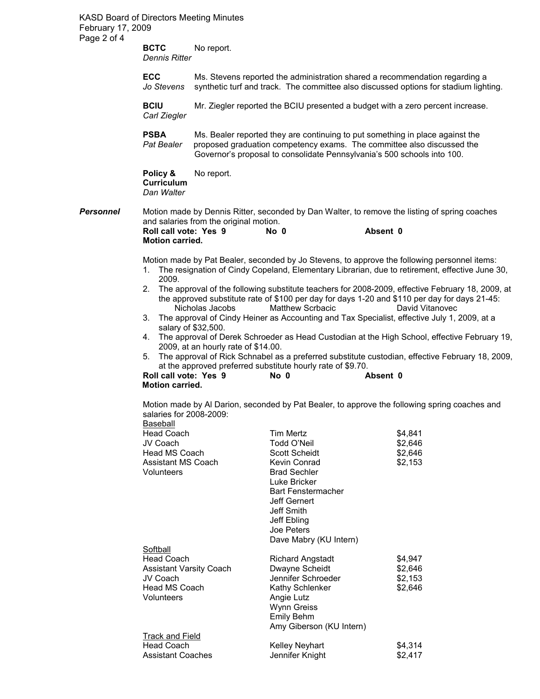KASD Board of Directors Meeting Minutes February 17, 2009 Page 2 of 4

> **BCTC** No report. *Dennis Ritter*

**ECC** Ms. Stevens reported the administration shared a recommendation regarding a *Jo Stevens* synthetic turf and track. The committee also discussed options for stadium light synthetic turf and track. The committee also discussed options for stadium lighting.

**BCIU** Mr. Ziegler reported the BCIU presented a budget with a zero percent increase. *Carl Ziegler*

**PSBA** Ms. Bealer reported they are continuing to put something in place against the *Pat Bealer* proposed graduation competency exams. The committee also discussed the Governor's proposal to consolidate Pennsylvania's 500 schools into 100.

**Policy &** No report. **Curriculum** *Dan Walter*

**Personnel** Motion made by Dennis Ritter, seconded by Dan Walter, to remove the listing of spring coaches and salaries from the original motion.<br> **Roll call vote: Yes 9** No 0 **Roll call vote: Yes 9 No 0 Absent 0 Motion carried.** 

Motion made by Pat Bealer, seconded by Jo Stevens, to approve the following personnel items:

- 1. The resignation of Cindy Copeland, Elementary Librarian, due to retirement, effective June 30, 2009.
- 2. The approval of the following substitute teachers for 2008-2009, effective February 18, 2009, at the approved substitute rate of \$100 per day for days 1-20 and \$110 per day for days 21-45: Nicholas Jacobs Matthew Scrbacic David Vitanovec
- 3. The approval of Cindy Heiner as Accounting and Tax Specialist, effective July 1, 2009, at a salary of \$32,500.
- 4. The approval of Derek Schroeder as Head Custodian at the High School, effective February 19, 2009, at an hourly rate of \$14.00.
- 5. The approval of Rick Schnabel as a preferred substitute custodian, effective February 18, 2009, at the approved preferred substitute hourly rate of \$9.70.

**Roll call vote: Yes 9 No 0 Absent 0 Motion carried.** 

Motion made by Al Darion, seconded by Pat Bealer, to approve the following spring coaches and salaries for 2008-2009:

| Baseball                       |                           |         |
|--------------------------------|---------------------------|---------|
| <b>Head Coach</b>              | <b>Tim Mertz</b>          | \$4,841 |
| JV Coach                       | Todd O'Neil               | \$2,646 |
| Head MS Coach                  | Scott Scheidt             | \$2,646 |
| <b>Assistant MS Coach</b>      | Kevin Conrad              | \$2,153 |
| Volunteers                     | <b>Brad Sechler</b>       |         |
|                                | Luke Bricker              |         |
|                                | <b>Bart Fenstermacher</b> |         |
|                                | Jeff Gernert              |         |
|                                | Jeff Smith                |         |
|                                | Jeff Ebling               |         |
|                                | Joe Peters                |         |
|                                | Dave Mabry (KU Intern)    |         |
| Softball                       |                           |         |
| <b>Head Coach</b>              | <b>Richard Angstadt</b>   | \$4,947 |
| <b>Assistant Varsity Coach</b> | Dwayne Scheidt            | \$2,646 |
| JV Coach                       | Jennifer Schroeder        | \$2,153 |
| <b>Head MS Coach</b>           | Kathy Schlenker           | \$2,646 |
| Volunteers                     | Angie Lutz                |         |
|                                | Wynn Greiss               |         |
|                                | Emily Behm                |         |
|                                | Amy Giberson (KU Intern)  |         |
| <b>Track and Field</b>         |                           |         |
| <b>Head Coach</b>              | <b>Kelley Neyhart</b>     | \$4,314 |
| <b>Assistant Coaches</b>       | Jennifer Knight           | \$2,417 |
|                                |                           |         |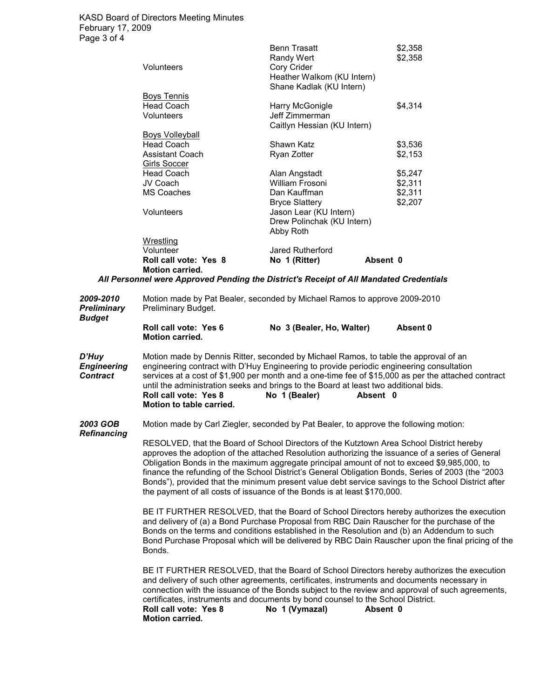|                                                                                        | <b>Benn Trasatt</b>         | \$2,358 |  |  |
|----------------------------------------------------------------------------------------|-----------------------------|---------|--|--|
|                                                                                        | Randy Wert                  | \$2,358 |  |  |
| Volunteers                                                                             | Cory Crider                 |         |  |  |
|                                                                                        | Heather Walkom (KU Intern)  |         |  |  |
|                                                                                        | Shane Kadlak (KU Intern)    |         |  |  |
| <b>Boys Tennis</b>                                                                     |                             |         |  |  |
| Head Coach                                                                             | Harry McGonigle             | \$4,314 |  |  |
| Volunteers                                                                             | Jeff Zimmerman              |         |  |  |
|                                                                                        | Caitlyn Hessian (KU Intern) |         |  |  |
| Boys Volleyball                                                                        |                             |         |  |  |
| Head Coach                                                                             | Shawn Katz                  | \$3,536 |  |  |
| <b>Assistant Coach</b>                                                                 | Ryan Zotter                 | \$2,153 |  |  |
| <b>Girls Soccer</b>                                                                    |                             |         |  |  |
| <b>Head Coach</b>                                                                      | Alan Angstadt               | \$5,247 |  |  |
| JV Coach                                                                               | William Frosoni             | \$2,311 |  |  |
| <b>MS Coaches</b>                                                                      | Dan Kauffman                | \$2,311 |  |  |
|                                                                                        | <b>Bryce Slattery</b>       | \$2,207 |  |  |
| Volunteers                                                                             | Jason Lear (KU Intern)      |         |  |  |
|                                                                                        | Drew Polinchak (KU Intern)  |         |  |  |
|                                                                                        | Abby Roth                   |         |  |  |
| Wrestling                                                                              |                             |         |  |  |
| Volunteer                                                                              | Jared Rutherford            |         |  |  |
| Roll call vote: Yes 8                                                                  | No 1 (Ritter)<br>Absent 0   |         |  |  |
| Motion carried.                                                                        |                             |         |  |  |
| All Personnel were Approved Pending the District's Receipt of All Mandated Credentials |                             |         |  |  |

| 2009-2010<br><b>Preliminary</b><br><b>Budget</b> | Motion made by Pat Bealer, seconded by Michael Ramos to approve 2009-2010<br>Preliminary Budget.                                                                                                                                                                                                                                                                                                                                                                                                                                                                                    |  |  |
|--------------------------------------------------|-------------------------------------------------------------------------------------------------------------------------------------------------------------------------------------------------------------------------------------------------------------------------------------------------------------------------------------------------------------------------------------------------------------------------------------------------------------------------------------------------------------------------------------------------------------------------------------|--|--|
|                                                  | Roll call vote: Yes 6<br>Absent 0<br>No 3 (Bealer, Ho, Walter)<br><b>Motion carried.</b>                                                                                                                                                                                                                                                                                                                                                                                                                                                                                            |  |  |
| D'Huy<br><b>Engineering</b><br><b>Contract</b>   | Motion made by Dennis Ritter, seconded by Michael Ramos, to table the approval of an<br>engineering contract with D'Huy Engineering to provide periodic engineering consultation<br>services at a cost of \$1,900 per month and a one-time fee of \$15,000 as per the attached contract<br>until the administration seeks and brings to the Board at least two additional bids.<br>Roll call vote: Yes 8<br>No 1 (Bealer)<br>Absent 0<br>Motion to table carried.                                                                                                                   |  |  |
| 2003 GOB<br><b>Refinancing</b>                   | Motion made by Carl Ziegler, seconded by Pat Bealer, to approve the following motion:                                                                                                                                                                                                                                                                                                                                                                                                                                                                                               |  |  |
|                                                  | RESOLVED, that the Board of School Directors of the Kutztown Area School District hereby<br>approves the adoption of the attached Resolution authorizing the issuance of a series of General<br>Obligation Bonds in the maximum aggregate principal amount of not to exceed \$9,985,000, to<br>finance the refunding of the School District's General Obligation Bonds, Series of 2003 (the "2003<br>Bonds"), provided that the minimum present value debt service savings to the School District after<br>the payment of all costs of issuance of the Bonds is at least \$170,000. |  |  |
|                                                  | BE IT FURTHER RESOLVED, that the Board of School Directors hereby authorizes the execution<br>and delivery of (a) a Bond Purchase Proposal from RBC Dain Rauscher for the purchase of the<br>Bonds on the terms and conditions established in the Resolution and (b) an Addendum to such<br>Bond Purchase Proposal which will be delivered by RBC Dain Rauscher upon the final pricing of the<br>Bonds.                                                                                                                                                                             |  |  |
|                                                  | BE IT FURTHER RESOLVED, that the Board of School Directors hereby authorizes the execution<br>and delivery of such other agreements, certificates, instruments and documents necessary in<br>connection with the issuance of the Bonds subject to the review and approval of such agreements,<br>certificates, instruments and documents by bond counsel to the School District.<br>No 1 (Vymazal)<br>Roll call vote: Yes 8<br>Absent 0<br><b>Motion carried.</b>                                                                                                                   |  |  |